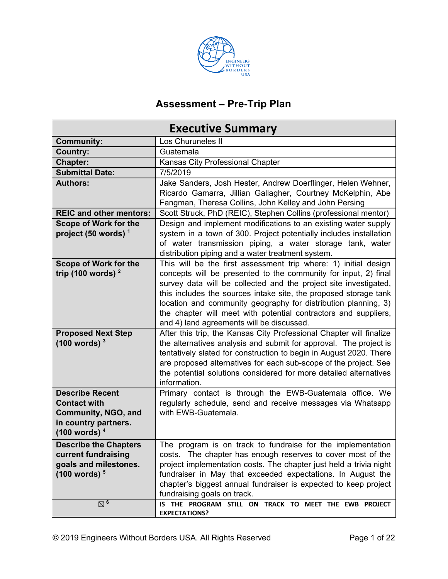

# **Assessment – Pre-Trip Plan**

|                                | <b>Executive Summary</b>                                                                                                           |
|--------------------------------|------------------------------------------------------------------------------------------------------------------------------------|
| <b>Community:</b>              | Los Churuneles II                                                                                                                  |
| <b>Country:</b>                | Guatemala                                                                                                                          |
| <b>Chapter:</b>                | Kansas City Professional Chapter                                                                                                   |
| <b>Submittal Date:</b>         | 7/5/2019                                                                                                                           |
| <b>Authors:</b>                | Jake Sanders, Josh Hester, Andrew Doerflinger, Helen Wehner,                                                                       |
|                                | Ricardo Gamarra, Jillian Gallagher, Courtney McKelphin, Abe<br>Fangman, Theresa Collins, John Kelley and John Persing              |
| <b>REIC and other mentors:</b> | Scott Struck, PhD (REIC), Stephen Collins (professional mentor)                                                                    |
| <b>Scope of Work for the</b>   | Design and implement modifications to an existing water supply                                                                     |
| project (50 words) $1$         | system in a town of 300. Project potentially includes installation                                                                 |
|                                | of water transmission piping, a water storage tank, water                                                                          |
|                                | distribution piping and a water treatment system.                                                                                  |
| <b>Scope of Work for the</b>   | This will be the first assessment trip where: 1) initial design                                                                    |
| trip (100 words) $2$           | concepts will be presented to the community for input, 2) final                                                                    |
|                                | survey data will be collected and the project site investigated,                                                                   |
|                                | this includes the sources intake site, the proposed storage tank<br>location and community geography for distribution planning, 3) |
|                                | the chapter will meet with potential contractors and suppliers,                                                                    |
|                                | and 4) land agreements will be discussed.                                                                                          |
| <b>Proposed Next Step</b>      | After this trip, the Kansas City Professional Chapter will finalize                                                                |
| (100 words) <sup>3</sup>       | the alternatives analysis and submit for approval. The project is                                                                  |
|                                | tentatively slated for construction to begin in August 2020. There                                                                 |
|                                | are proposed alternatives for each sub-scope of the project. See                                                                   |
|                                | the potential solutions considered for more detailed alternatives                                                                  |
|                                | information.                                                                                                                       |
| <b>Describe Recent</b>         | Primary contact is through the EWB-Guatemala office. We                                                                            |
| <b>Contact with</b>            | regularly schedule, send and receive messages via Whatsapp                                                                         |
| Community, NGO, and            | with EWB-Guatemala.                                                                                                                |
| in country partners.           |                                                                                                                                    |
| (100 words) <sup>4</sup>       |                                                                                                                                    |
| <b>Describe the Chapters</b>   | The program is on track to fundraise for the implementation                                                                        |
| current fundraising            | costs. The chapter has enough reserves to cover most of the                                                                        |
| goals and milestones.          | project implementation costs. The chapter just held a trivia night                                                                 |
| (100 words) <sup>5</sup>       | fundraiser in May that exceeded expectations. In August the                                                                        |
|                                | chapter's biggest annual fundraiser is expected to keep project                                                                    |
| $\boxtimes$ 6                  | fundraising goals on track.<br>IS THE PROGRAM STILL ON TRACK TO MEET THE EWB PROJECT                                               |
|                                | <b>EXPECTATIONS?</b>                                                                                                               |
|                                |                                                                                                                                    |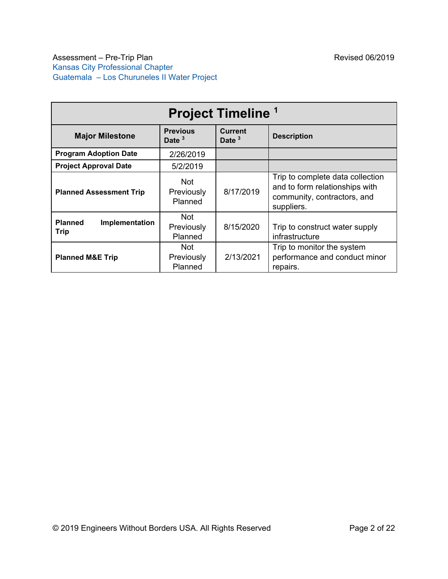|                                                  |                                     | <b>Project Timeline 1</b>  |                                                                                                                 |
|--------------------------------------------------|-------------------------------------|----------------------------|-----------------------------------------------------------------------------------------------------------------|
| <b>Major Milestone</b>                           | <b>Previous</b><br>Date $3$         | <b>Current</b><br>Date $3$ | <b>Description</b>                                                                                              |
| <b>Program Adoption Date</b>                     | 2/26/2019                           |                            |                                                                                                                 |
| <b>Project Approval Date</b>                     | 5/2/2019                            |                            |                                                                                                                 |
| <b>Planned Assessment Trip</b><br><b>Planned</b> | <b>Not</b><br>Previously<br>Planned | 8/17/2019                  | Trip to complete data collection<br>and to form relationships with<br>community, contractors, and<br>suppliers. |
| Implementation<br>Trip                           | <b>Not</b><br>Previously<br>Planned | 8/15/2020                  | Trip to construct water supply<br>infrastructure                                                                |
| <b>Planned M&amp;E Trip</b>                      | Not<br>Previously<br>Planned        | 2/13/2021                  | Trip to monitor the system<br>performance and conduct minor<br>repairs.                                         |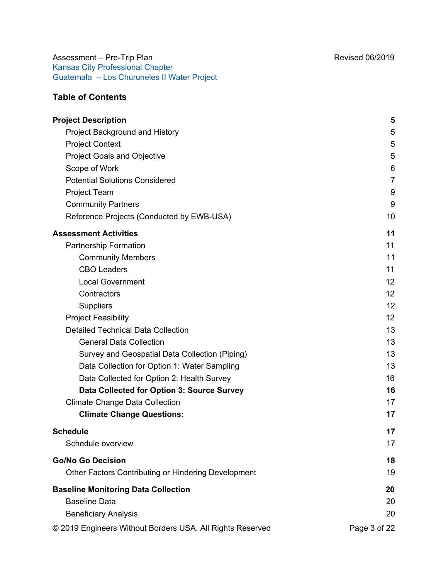# **Table of Contents**

| <b>Project Description</b>                                | 5              |
|-----------------------------------------------------------|----------------|
| Project Background and History                            | 5              |
| <b>Project Context</b>                                    | 5              |
| <b>Project Goals and Objective</b>                        | 5              |
| Scope of Work                                             | 6              |
| <b>Potential Solutions Considered</b>                     | $\overline{7}$ |
| Project Team                                              | 9              |
| <b>Community Partners</b>                                 | 9              |
| Reference Projects (Conducted by EWB-USA)                 | 10             |
| <b>Assessment Activities</b>                              | 11             |
| <b>Partnership Formation</b>                              | 11             |
| <b>Community Members</b>                                  | 11             |
| <b>CBO Leaders</b>                                        | 11             |
| <b>Local Government</b>                                   | 12             |
| Contractors                                               | 12             |
| Suppliers                                                 | 12             |
| <b>Project Feasibility</b>                                | 12             |
| <b>Detailed Technical Data Collection</b>                 | 13             |
| <b>General Data Collection</b>                            | 13             |
| Survey and Geospatial Data Collection (Piping)            | 13             |
| Data Collection for Option 1: Water Sampling              | 13             |
| Data Collected for Option 2: Health Survey                | 16             |
| Data Collected for Option 3: Source Survey                | 16             |
| <b>Climate Change Data Collection</b>                     | 17             |
| <b>Climate Change Questions:</b>                          | 17             |
| <b>Schedule</b>                                           | 17             |
| Schedule overview                                         | 17             |
| <b>Go/No Go Decision</b>                                  | 18             |
| Other Factors Contributing or Hindering Development       | 19             |
| <b>Baseline Monitoring Data Collection</b>                | 20             |
| <b>Baseline Data</b>                                      | 20             |
| <b>Beneficiary Analysis</b>                               | 20             |
| © 2019 Engineers Without Borders USA. All Rights Reserved | Page 3 of 22   |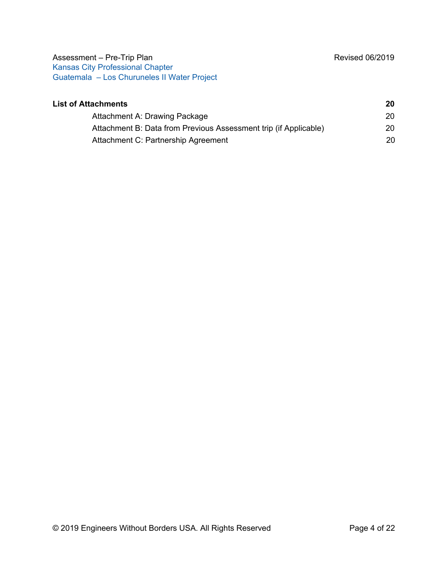| <b>List of Attachments</b>                                       | 20 |
|------------------------------------------------------------------|----|
| Attachment A: Drawing Package                                    | 20 |
| Attachment B: Data from Previous Assessment trip (if Applicable) | 20 |
| Attachment C: Partnership Agreement                              | 20 |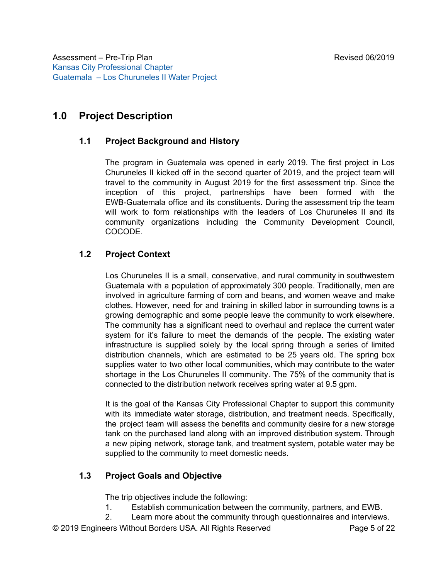# <span id="page-4-1"></span><span id="page-4-0"></span>**1.0 Project Description**

## **1.1 Project Background and History**

The program in Guatemala was opened in early 2019. The first project in Los Churuneles II kicked off in the second quarter of 2019, and the project team will travel to the community in August 2019 for the first assessment trip. Since the inception of this project, partnerships have been formed with the EWB-Guatemala office and its constituents. During the assessment trip the team will work to form relationships with the leaders of Los Churuneles II and its community organizations including the Community Development Council, COCODE.

# <span id="page-4-2"></span>**1.2 Project Context**

Los Churuneles II is a small, conservative, and rural community in southwestern Guatemala with a population of approximately 300 people. Traditionally, men are involved in agriculture farming of corn and beans, and women weave and make clothes. However, need for and training in skilled labor in surrounding towns is a growing demographic and some people leave the community to work elsewhere. The community has a significant need to overhaul and replace the current water system for it's failure to meet the demands of the people. The existing water infrastructure is supplied solely by the local spring through a series of limited distribution channels, which are estimated to be 25 years old. The spring box supplies water to two other local communities, which may contribute to the water shortage in the Los Churuneles II community. The 75% of the community that is connected to the distribution network receives spring water at 9.5 gpm.

It is the goal of the Kansas City Professional Chapter to support this community with its immediate water storage, distribution, and treatment needs. Specifically, the project team will assess the benefits and community desire for a new storage tank on the purchased land along with an improved distribution system. Through a new piping network, storage tank, and treatment system, potable water may be supplied to the community to meet domestic needs.

#### <span id="page-4-3"></span>**1.3 Project Goals and Objective**

The trip objectives include the following:

1. Establish communication between the community, partners, and EWB.

2. Learn more about the community through questionnaires and interviews.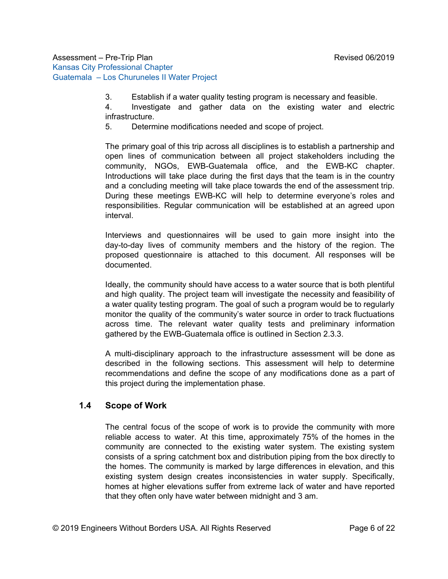3. Establish if a water quality testing program is necessary and feasible.

4. Investigate and gather data on the existing water and electric infrastructure.

5. Determine modifications needed and scope of project.

The primary goal of this trip across all disciplines is to establish a partnership and open lines of communication between all project stakeholders including the community, NGOs, EWB-Guatemala office, and the EWB-KC chapter. Introductions will take place during the first days that the team is in the country and a concluding meeting will take place towards the end of the assessment trip. During these meetings EWB-KC will help to determine everyone's roles and responsibilities. Regular communication will be established at an agreed upon interval.

Interviews and questionnaires will be used to gain more insight into the day-to-day lives of community members and the history of the region. The proposed questionnaire is attached to this document. All responses will be documented.

Ideally, the community should have access to a water source that is both plentiful and high quality. The project team will investigate the necessity and feasibility of a water quality testing program. The goal of such a program would be to regularly monitor the quality of the community's water source in order to track fluctuations across time. The relevant water quality tests and preliminary information gathered by the EWB-Guatemala office is outlined in Section 2.3.3.

A multi-disciplinary approach to the infrastructure assessment will be done as described in the following sections. This assessment will help to determine recommendations and define the scope of any modifications done as a part of this project during the implementation phase.

# <span id="page-5-0"></span>**1.4 Scope of Work**

The central focus of the scope of work is to provide the community with more reliable access to water. At this time, approximately 75% of the homes in the community are connected to the existing water system. The existing system consists of a spring catchment box and distribution piping from the box directly to the homes. The community is marked by large differences in elevation, and this existing system design creates inconsistencies in water supply. Specifically, homes at higher elevations suffer from extreme lack of water and have reported that they often only have water between midnight and 3 am.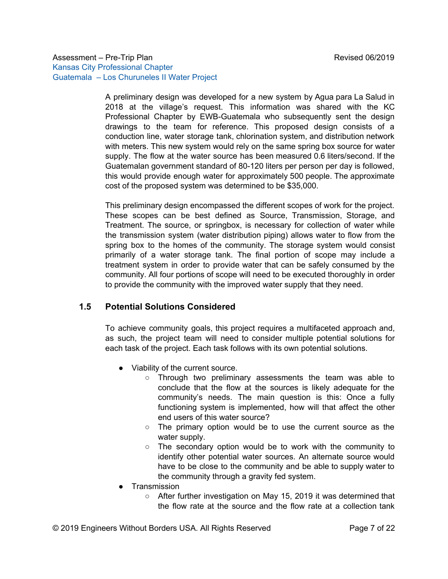A preliminary design was developed for a new system by Agua para La Salud in 2018 at the village's request. This information was shared with the KC Professional Chapter by EWB-Guatemala who subsequently sent the design drawings to the team for reference. This proposed design consists of a conduction line, water storage tank, chlorination system, and distribution network with meters. This new system would rely on the same spring box source for water supply. The flow at the water source has been measured 0.6 liters/second. If the Guatemalan government standard of 80-120 liters per person per day is followed, this would provide enough water for approximately 500 people. The approximate cost of the proposed system was determined to be \$35,000.

This preliminary design encompassed the different scopes of work for the project. These scopes can be best defined as Source, Transmission, Storage, and Treatment. The source, or springbox, is necessary for collection of water while the transmission system (water distribution piping) allows water to flow from the spring box to the homes of the community. The storage system would consist primarily of a water storage tank. The final portion of scope may include a treatment system in order to provide water that can be safely consumed by the community. All four portions of scope will need to be executed thoroughly in order to provide the community with the improved water supply that they need.

### <span id="page-6-0"></span>**1.5 Potential Solutions Considered**

To achieve community goals, this project requires a multifaceted approach and, as such, the project team will need to consider multiple potential solutions for each task of the project. Each task follows with its own potential solutions.

- Viability of the current source.
	- Through two preliminary assessments the team was able to conclude that the flow at the sources is likely adequate for the community's needs. The main question is this: Once a fully functioning system is implemented, how will that affect the other end users of this water source?
	- The primary option would be to use the current source as the water supply.
	- The secondary option would be to work with the community to identify other potential water sources. An alternate source would have to be close to the community and be able to supply water to the community through a gravity fed system.
- Transmission
	- After further investigation on May 15, 2019 it was determined that the flow rate at the source and the flow rate at a collection tank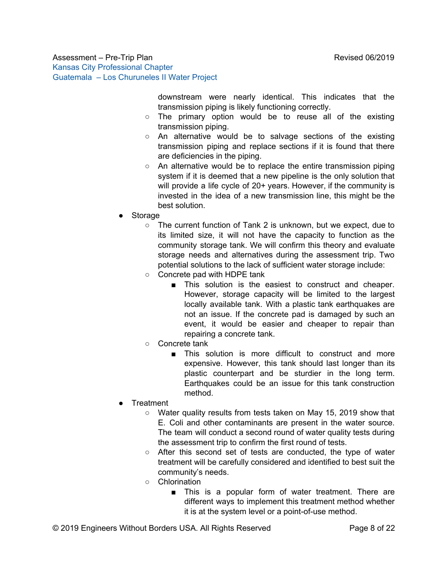downstream were nearly identical. This indicates that the transmission piping is likely functioning correctly.

- The primary option would be to reuse all of the existing transmission piping.
- An alternative would be to salvage sections of the existing transmission piping and replace sections if it is found that there are deficiencies in the piping.
- An alternative would be to replace the entire transmission piping system if it is deemed that a new pipeline is the only solution that will provide a life cycle of 20+ years. However, if the community is invested in the idea of a new transmission line, this might be the best solution.
- Storage
	- The current function of Tank 2 is unknown, but we expect, due to its limited size, it will not have the capacity to function as the community storage tank. We will confirm this theory and evaluate storage needs and alternatives during the assessment trip. Two potential solutions to the lack of sufficient water storage include:
	- Concrete pad with HDPE tank
		- This solution is the easiest to construct and cheaper. However, storage capacity will be limited to the largest locally available tank. With a plastic tank earthquakes are not an issue. If the concrete pad is damaged by such an event, it would be easier and cheaper to repair than repairing a concrete tank.
	- Concrete tank
		- This solution is more difficult to construct and more expensive. However, this tank should last longer than its plastic counterpart and be sturdier in the long term. Earthquakes could be an issue for this tank construction method.
- **Treatment** 
	- Water quality results from tests taken on May 15, 2019 show that E. Coli and other contaminants are present in the water source. The team will conduct a second round of water quality tests during the assessment trip to confirm the first round of tests.
	- After this second set of tests are conducted, the type of water treatment will be carefully considered and identified to best suit the community's needs.
	- Chlorination
		- This is a popular form of water treatment. There are different ways to implement this treatment method whether it is at the system level or a point-of-use method.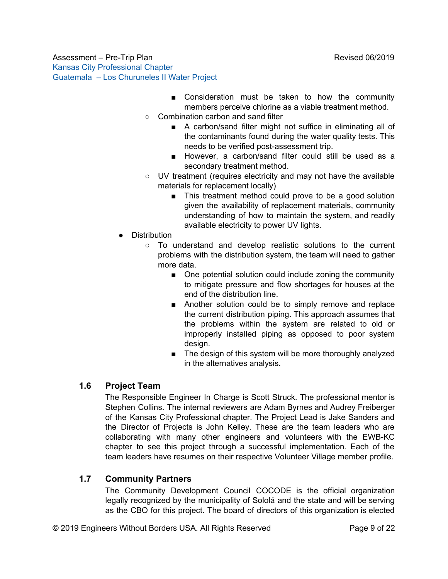- Consideration must be taken to how the community members perceive chlorine as a viable treatment method.
- Combination carbon and sand filter
	- A carbon/sand filter might not suffice in eliminating all of the contaminants found during the water quality tests. This needs to be verified post-assessment trip.
	- However, a carbon/sand filter could still be used as a secondary treatment method.
- UV treatment (requires electricity and may not have the available materials for replacement locally)
	- This treatment method could prove to be a good solution given the availability of replacement materials, community understanding of how to maintain the system, and readily available electricity to power UV lights.
- Distribution
	- To understand and develop realistic solutions to the current problems with the distribution system, the team will need to gather more data.
		- One potential solution could include zoning the community to mitigate pressure and flow shortages for houses at the end of the distribution line.
		- Another solution could be to simply remove and replace the current distribution piping. This approach assumes that the problems within the system are related to old or improperly installed piping as opposed to poor system design.
		- The design of this system will be more thoroughly analyzed in the alternatives analysis.

# <span id="page-8-0"></span>**1.6 Project Team**

The Responsible Engineer In Charge is Scott Struck. The professional mentor is Stephen Collins. The internal reviewers are Adam Byrnes and Audrey Freiberger of the Kansas City Professional chapter. The Project Lead is Jake Sanders and the Director of Projects is John Kelley. These are the team leaders who are collaborating with many other engineers and volunteers with the EWB-KC chapter to see this project through a successful implementation. Each of the team leaders have resumes on their respective Volunteer Village member profile.

# <span id="page-8-1"></span>**1.7 Community Partners**

The Community Development Council COCODE is the official organization legally recognized by the municipality of Sololá and the state and will be serving as the CBO for this project. The board of directors of this organization is elected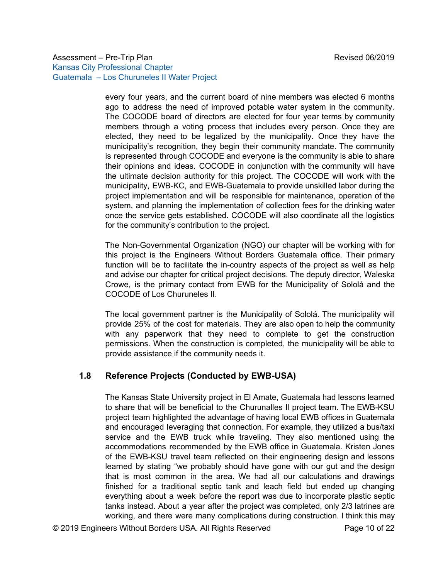every four years, and the current board of nine members was elected 6 months ago to address the need of improved potable water system in the community. The COCODE board of directors are elected for four year terms by community members through a voting process that includes every person. Once they are elected, they need to be legalized by the municipality. Once they have the municipality's recognition, they begin their community mandate. The community is represented through COCODE and everyone is the community is able to share their opinions and ideas. COCODE in conjunction with the community will have the ultimate decision authority for this project. The COCODE will work with the municipality, EWB-KC, and EWB-Guatemala to provide unskilled labor during the project implementation and will be responsible for maintenance, operation of the system, and planning the implementation of collection fees for the drinking water once the service gets established. COCODE will also coordinate all the logistics for the community's contribution to the project.

The Non-Governmental Organization (NGO) our chapter will be working with for this project is the Engineers Without Borders Guatemala office. Their primary function will be to facilitate the in-country aspects of the project as well as help and advise our chapter for critical project decisions. The deputy director, Waleska Crowe, is the primary contact from EWB for the Municipality of Sololá and the COCODE of Los Churuneles II.

The local government partner is the Municipality of Sololá. The municipality will provide 25% of the cost for materials. They are also open to help the community with any paperwork that they need to complete to get the construction permissions. When the construction is completed, the municipality will be able to provide assistance if the community needs it.

#### <span id="page-9-0"></span>**1.8 Reference Projects (Conducted by EWB-USA)**

The Kansas State University project in El Amate, Guatemala had lessons learned to share that will be beneficial to the Churunalles II project team. The EWB-KSU project team highlighted the advantage of having local EWB offices in Guatemala and encouraged leveraging that connection. For example, they utilized a bus/taxi service and the EWB truck while traveling. They also mentioned using the accommodations recommended by the EWB office in Guatemala. Kristen Jones of the EWB-KSU travel team reflected on their engineering design and lessons learned by stating "we probably should have gone with our gut and the design that is most common in the area. We had all our calculations and drawings finished for a traditional septic tank and leach field but ended up changing everything about a week before the report was due to incorporate plastic septic tanks instead. About a year after the project was completed, only 2/3 latrines are working, and there were many complications during construction. I think this may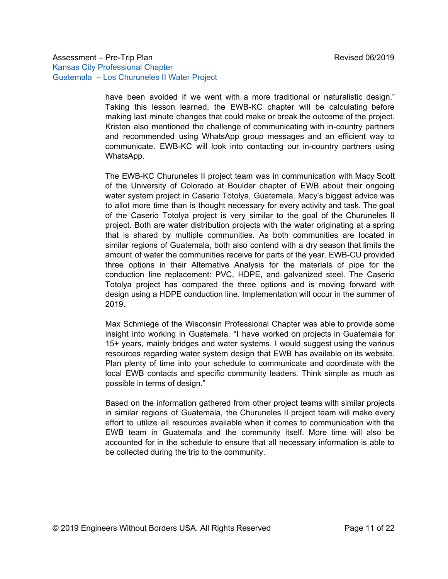have been avoided if we went with a more traditional or naturalistic design." Taking this lesson learned, the EWB-KC chapter will be calculating before making last minute changes that could make or break the outcome of the project. Kristen also mentioned the challenge of communicating with in-country partners and recommended using WhatsApp group messages and an efficient way to communicate. EWB-KC will look into contacting our in-country partners using WhatsApp.

The EWB-KC Churuneles II project team was in communication with Macy Scott of the University of Colorado at Boulder chapter of EWB about their ongoing water system project in Caserio Totolya, Guatemala. Macy's biggest advice was to allot more time than is thought necessary for every activity and task. The goal of the Caserio Totolya project is very similar to the goal of the Churuneles II project. Both are water distribution projects with the water originating at a spring that is shared by multiple communities. As both communities are located in similar regions of Guatemala, both also contend with a dry season that limits the amount of water the communities receive for parts of the year. EWB-CU provided three options in their Alternative Analysis for the materials of pipe for the conduction line replacement: PVC, HDPE, and galvanized steel. The Caserio Totolya project has compared the three options and is moving forward with design using a HDPE conduction line. Implementation will occur in the summer of 2019.

Max Schmiege of the Wisconsin Professional Chapter was able to provide some insight into working in Guatemala. "I have worked on projects in Guatemala for 15+ years, mainly bridges and water systems. I would suggest using the various resources regarding water system design that EWB has available on its website. Plan plenty of time into your schedule to communicate and coordinate with the local EWB contacts and specific community leaders. Think simple as much as possible in terms of design."

Based on the information gathered from other project teams with similar projects in similar regions of Guatemala, the Churuneles II project team will make every effort to utilize all resources available when it comes to communication with the EWB team in Guatemala and the community itself. More time will also be accounted for in the schedule to ensure that all necessary information is able to be collected during the trip to the community.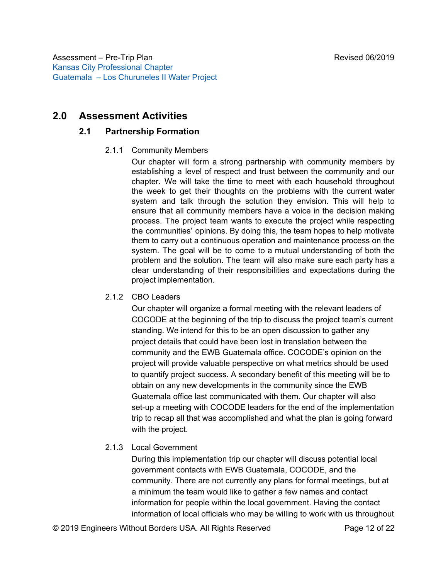# <span id="page-11-2"></span><span id="page-11-1"></span><span id="page-11-0"></span>**2.0 Assessment Activities**

#### **2.1 Partnership Formation**

#### 2.1.1 Community Members

Our chapter will form a strong partnership with community members by establishing a level of respect and trust between the community and our chapter. We will take the time to meet with each household throughout the week to get their thoughts on the problems with the current water system and talk through the solution they envision. This will help to ensure that all community members have a voice in the decision making process. The project team wants to execute the project while respecting the communities' opinions. By doing this, the team hopes to help motivate them to carry out a continuous operation and maintenance process on the system. The goal will be to come to a mutual understanding of both the problem and the solution. The team will also make sure each party has a clear understanding of their responsibilities and expectations during the project implementation.

#### <span id="page-11-3"></span>2.1.2 CBO Leaders

Our chapter will organize a formal meeting with the relevant leaders of COCODE at the beginning of the trip to discuss the project team's current standing. We intend for this to be an open discussion to gather any project details that could have been lost in translation between the community and the EWB Guatemala office. COCODE's opinion on the project will provide valuable perspective on what metrics should be used to quantify project success. A secondary benefit of this meeting will be to obtain on any new developments in the community since the EWB Guatemala office last communicated with them. Our chapter will also set-up a meeting with COCODE leaders for the end of the implementation trip to recap all that was accomplished and what the plan is going forward with the project.

#### <span id="page-11-4"></span>2.1.3 Local Government

During this implementation trip our chapter will discuss potential local government contacts with EWB Guatemala, COCODE, and the community. There are not currently any plans for formal meetings, but at a minimum the team would like to gather a few names and contact information for people within the local government. Having the contact information of local officials who may be willing to work with us throughout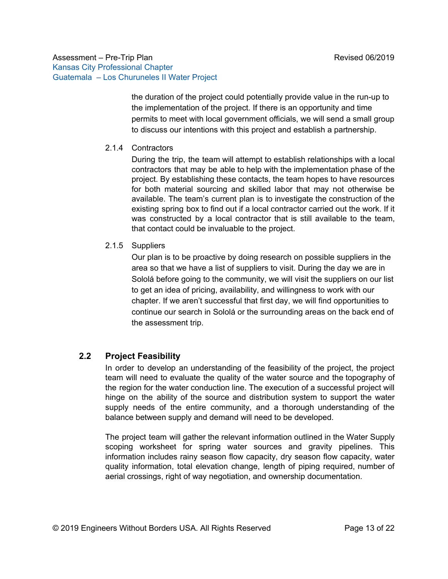the duration of the project could potentially provide value in the run-up to the implementation of the project. If there is an opportunity and time permits to meet with local government officials, we will send a small group to discuss our intentions with this project and establish a partnership.

#### <span id="page-12-0"></span>2.1.4 Contractors

During the trip, the team will attempt to establish relationships with a local contractors that may be able to help with the implementation phase of the project. By establishing these contacts, the team hopes to have resources for both material sourcing and skilled labor that may not otherwise be available. The team's current plan is to investigate the construction of the existing spring box to find out if a local contractor carried out the work. If it was constructed by a local contractor that is still available to the team, that contact could be invaluable to the project.

#### <span id="page-12-1"></span>2.1.5 Suppliers

Our plan is to be proactive by doing research on possible suppliers in the area so that we have a list of suppliers to visit. During the day we are in Sololá before going to the community, we will visit the suppliers on our list to get an idea of pricing, availability, and willingness to work with our chapter. If we aren't successful that first day, we will find opportunities to continue our search in Sololá or the surrounding areas on the back end of the assessment trip.

#### <span id="page-12-2"></span>**2.2 Project Feasibility**

In order to develop an understanding of the feasibility of the project, the project team will need to evaluate the quality of the water source and the topography of the region for the water conduction line. The execution of a successful project will hinge on the ability of the source and distribution system to support the water supply needs of the entire community, and a thorough understanding of the balance between supply and demand will need to be developed.

The project team will gather the relevant information outlined in the Water Supply scoping worksheet for spring water sources and gravity pipelines. This information includes rainy season flow capacity, dry season flow capacity, water quality information, total elevation change, length of piping required, number of aerial crossings, right of way negotiation, and ownership documentation.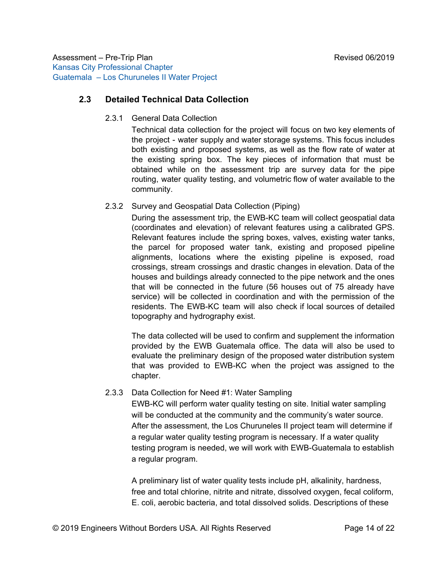### <span id="page-13-1"></span><span id="page-13-0"></span>**2.3 Detailed Technical Data Collection**

2.3.1 General Data Collection

Technical data collection for the project will focus on two key elements of the project - water supply and water storage systems. This focus includes both existing and proposed systems, as well as the flow rate of water at the existing spring box. The key pieces of information that must be obtained while on the assessment trip are survey data for the pipe routing, water quality testing, and volumetric flow of water available to the community.

#### <span id="page-13-2"></span>2.3.2 Survey and Geospatial Data Collection (Piping)

During the assessment trip, the EWB-KC team will collect geospatial data (coordinates and elevation) of relevant features using a calibrated GPS. Relevant features include the spring boxes, valves, existing water tanks, the parcel for proposed water tank, existing and proposed pipeline alignments, locations where the existing pipeline is exposed, road crossings, stream crossings and drastic changes in elevation. Data of the houses and buildings already connected to the pipe network and the ones that will be connected in the future (56 houses out of 75 already have service) will be collected in coordination and with the permission of the residents. The EWB-KC team will also check if local sources of detailed topography and hydrography exist.

The data collected will be used to confirm and supplement the information provided by the EWB Guatemala office. The data will also be used to evaluate the preliminary design of the proposed water distribution system that was provided to EWB-KC when the project was assigned to the chapter.

#### <span id="page-13-3"></span>2.3.3 Data Collection for Need #1: Water Sampling

EWB-KC will perform water quality testing on site. Initial water sampling will be conducted at the community and the community's water source. After the assessment, the Los Churuneles II project team will determine if a regular water quality testing program is necessary. If a water quality testing program is needed, we will work with EWB-Guatemala to establish a regular program.

A preliminary list of water quality tests include pH, alkalinity, hardness, free and total chlorine, nitrite and nitrate, dissolved oxygen, fecal coliform, E. coli, aerobic bacteria, and total dissolved solids. Descriptions of these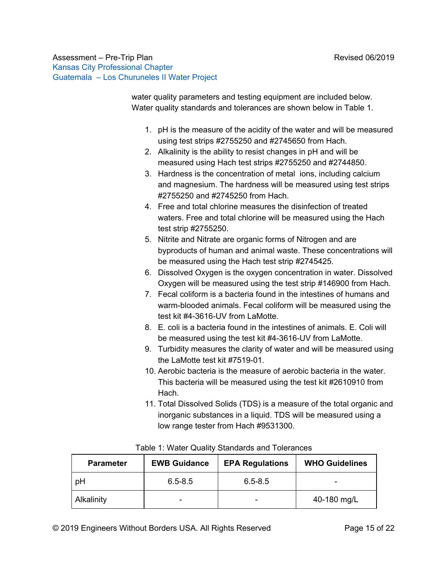water quality parameters and testing equipment are included below. Water quality standards and tolerances are shown below in Table 1.

- 1. pH is the measure of the acidity of the water and will be measured using test strips #2755250 and #2745650 from Hach.
- 2. Alkalinity is the ability to resist changes in pH and will be measured using Hach test strips #2755250 and #2744850.
- 3. Hardness is the concentration of metal ions, including calcium and magnesium. The hardness will be measured using test strips #2755250 and #2745250 from Hach.
- 4. Free and total chlorine measures the disinfection of treated waters. Free and total chlorine will be measured using the Hach test strip #2755250.
- 5. Nitrite and Nitrate are organic forms of Nitrogen and are byproducts of human and animal waste. These concentrations will be measured using the Hach test strip #2745425.
- 6. Dissolved Oxygen is the oxygen concentration in water. Dissolved Oxygen will be measured using the test strip #146900 from Hach.
- 7. Fecal coliform is a bacteria found in the intestines of humans and warm-blooded animals. Fecal coliform will be measured using the test kit #4-3616-UV from LaMotte.
- 8. E. coli is a bacteria found in the intestines of animals. E. Coli will be measured using the test kit #4-3616-UV from LaMotte.
- 9. Turbidity measures the clarity of water and will be measured using the LaMotte test kit #7519-01.
- 10. Aerobic bacteria is the measure of aerobic bacteria in the water. This bacteria will be measured using the test kit #2610910 from Hach.
- 11. Total Dissolved Solids (TDS) is a measure of the total organic and inorganic substances in a liquid. TDS will be measured using a low range tester from Hach #9531300.

| <b>Parameter</b> | <b>EWB Guidance</b> | <b>EPA Regulations</b> | <b>WHO Guidelines</b> |
|------------------|---------------------|------------------------|-----------------------|
| pH               | $6.5 - 8.5$         | $6.5 - 8.5$            | -                     |
| Alkalinity       |                     | -                      | 40-180 mg/L           |

#### Table 1: Water Quality Standards and Tolerances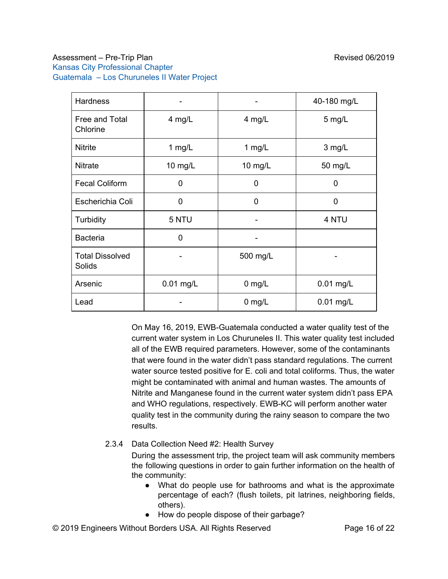| <b>Hardness</b>                  |             |          | 40-180 mg/L |  |  |  |  |
|----------------------------------|-------------|----------|-------------|--|--|--|--|
| Free and Total<br>Chlorine       | 4 mg/L      | $4$ mg/L | $5$ mg/L    |  |  |  |  |
| <b>Nitrite</b>                   | 1 mg/L      | 1 mg/L   | 3 mg/L      |  |  |  |  |
| <b>Nitrate</b>                   | 10 $mg/L$   | 10 mg/L  | 50 mg/L     |  |  |  |  |
| <b>Fecal Coliform</b>            | 0           | 0        | $\Omega$    |  |  |  |  |
| Escherichia Coli                 | $\mathbf 0$ | 0        | 0           |  |  |  |  |
| Turbidity                        | 5 NTU       |          | 4 NTU       |  |  |  |  |
| <b>Bacteria</b>                  | 0           |          |             |  |  |  |  |
| <b>Total Dissolved</b><br>Solids |             | 500 mg/L |             |  |  |  |  |
| Arsenic                          | $0.01$ mg/L | $0$ mg/L | $0.01$ mg/L |  |  |  |  |
| Lead                             |             | $0$ mg/L | $0.01$ mg/L |  |  |  |  |

On May 16, 2019, EWB-Guatemala conducted a water quality test of the current water system in Los Churuneles II. This water quality test included all of the EWB required parameters. However, some of the contaminants that were found in the water didn't pass standard regulations. The current water source tested positive for E. coli and total coliforms. Thus, the water might be contaminated with animal and human wastes. The amounts of Nitrite and Manganese found in the current water system didn't pass EPA and WHO regulations, respectively. EWB-KC will perform another water quality test in the community during the rainy season to compare the two results.

<span id="page-15-0"></span>2.3.4 Data Collection Need #2: Health Survey

During the assessment trip, the project team will ask community members the following questions in order to gain further information on the health of the community:

- What do people use for bathrooms and what is the approximate percentage of each? (flush toilets, pit latrines, neighboring fields, others).
- How do people dispose of their garbage?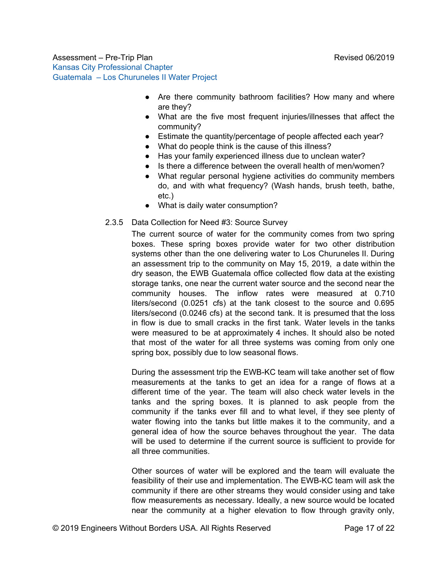- Are there community bathroom facilities? How many and where are they?
- What are the five most frequent injuries/illnesses that affect the community?
- Estimate the quantity/percentage of people affected each year?
- What do people think is the cause of this illness?
- Has your family experienced illness due to unclean water?
- Is there a difference between the overall health of men/women?
- What regular personal hygiene activities do community members do, and with what frequency? (Wash hands, brush teeth, bathe, etc.)
- What is daily water consumption?
- <span id="page-16-0"></span>2.3.5 Data Collection for Need #3: Source Survey

The current source of water for the community comes from two spring boxes. These spring boxes provide water for two other distribution systems other than the one delivering water to Los Churuneles II. During an assessment trip to the community on May 15, 2019, a date within the dry season, the EWB Guatemala office collected flow data at the existing storage tanks, one near the current water source and the second near the community houses. The inflow rates were measured at 0.710 liters/second (0.0251 cfs) at the tank closest to the source and 0.695 liters/second (0.0246 cfs) at the second tank. It is presumed that the loss in flow is due to small cracks in the first tank. Water levels in the tanks were measured to be at approximately 4 inches. It should also be noted that most of the water for all three systems was coming from only one spring box, possibly due to low seasonal flows.

During the assessment trip the EWB-KC team will take another set of flow measurements at the tanks to get an idea for a range of flows at a different time of the year. The team will also check water levels in the tanks and the spring boxes. It is planned to ask people from the community if the tanks ever fill and to what level, if they see plenty of water flowing into the tanks but little makes it to the community, and a general idea of how the source behaves throughout the year. The data will be used to determine if the current source is sufficient to provide for all three communities.

Other sources of water will be explored and the team will evaluate the feasibility of their use and implementation. The EWB-KC team will ask the community if there are other streams they would consider using and take flow measurements as necessary. Ideally, a new source would be located near the community at a higher elevation to flow through gravity only,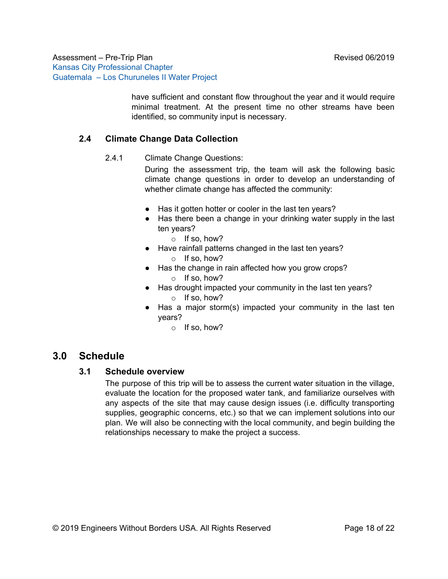> have sufficient and constant flow throughout the year and it would require minimal treatment. At the present time no other streams have been identified, so community input is necessary.

# <span id="page-17-1"></span><span id="page-17-0"></span>**2.4 Climate Change Data Collection**

2.4.1 Climate Change Questions:

During the assessment trip, the team will ask the following basic climate change questions in order to develop an understanding of whether climate change has affected the community:

- Has it gotten hotter or cooler in the last ten years?
- Has there been a change in your drinking water supply in the last ten years?
	- o If so, how?
- Have rainfall patterns changed in the last ten years?
	- o If so, how?
- Has the change in rain affected how you grow crops? o If so, how?
- Has drought impacted your community in the last ten years? o If so, how?
- Has a major storm(s) impacted your community in the last ten years?
	- $\circ$  If so, how?

# <span id="page-17-3"></span><span id="page-17-2"></span>**3.0 Schedule**

#### **3.1 Schedule overview**

The purpose of this trip will be to assess the current water situation in the village, evaluate the location for the proposed water tank, and familiarize ourselves with any aspects of the site that may cause design issues (i.e. difficulty transporting supplies, geographic concerns, etc.) so that we can implement solutions into our plan. We will also be connecting with the local community, and begin building the relationships necessary to make the project a success.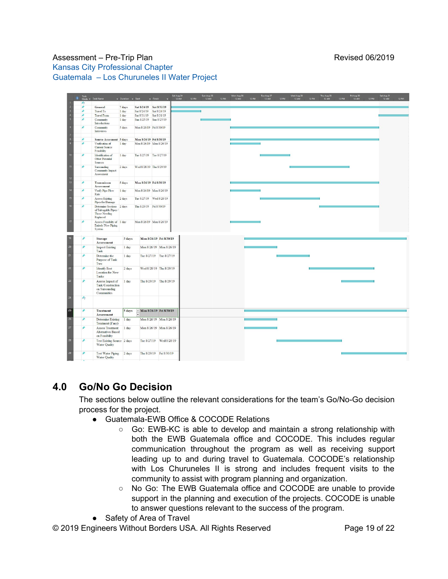|                | Task<br>Mode – Task Name                                                             | $\sqrt{ }$ Duration $\sqrt{ }$ Start |                         | $\overline{\phantom{a}}$ Finish | Sat Aug 24<br>12 AM | 12 PM | Sun Aug 25<br>12 AM | <b>12 PM</b> | Mon Aug 26<br>12 AM | 12 PM | Tue Aug 27<br>12 AM | <b>12 PM</b> | Wed Aug 28<br>12 AM | <b>12 PM</b> | Thu Aug 29<br>12 AM | 12 PM | Fri Aug 30<br>12 AM | <b>12 PM</b> | Sat Aug 31<br>12 AM | 12 PM |
|----------------|--------------------------------------------------------------------------------------|--------------------------------------|-------------------------|---------------------------------|---------------------|-------|---------------------|--------------|---------------------|-------|---------------------|--------------|---------------------|--------------|---------------------|-------|---------------------|--------------|---------------------|-------|
| 灼              |                                                                                      |                                      |                         |                                 |                     |       |                     |              |                     |       |                     |              |                     |              |                     |       |                     |              |                     |       |
|                | <b>General</b>                                                                       | 7 days                               | Sat 8/24/19 Sat 8/31/19 |                                 |                     |       |                     |              |                     |       |                     |              |                     |              |                     |       |                     |              |                     |       |
| ÷              | <b>Travel To</b>                                                                     | 1 day                                | Sat 8/24/19 Sat 8/24/19 |                                 |                     |       |                     |              |                     |       |                     |              |                     |              |                     |       |                     |              |                     |       |
|                | <b>Travel From</b>                                                                   | 1 day                                | Sat 8/31/19 Sat 8/31/19 |                                 |                     |       |                     |              |                     |       |                     |              |                     |              |                     |       |                     |              |                     |       |
|                | Community<br>Introductions                                                           | 1 <sub>day</sub>                     | Sun 8/25/19 Sun 8/25/19 |                                 |                     |       |                     |              |                     |       |                     |              |                     |              |                     |       |                     |              |                     |       |
|                | Community<br>Interviews                                                              | 5 days                               | Mon 8/26/19 Fri 8/30/19 |                                 |                     |       |                     |              |                     |       |                     |              |                     |              |                     |       |                     |              |                     |       |
|                |                                                                                      |                                      |                         |                                 |                     |       |                     |              |                     |       |                     |              |                     |              |                     |       |                     |              |                     |       |
|                | Source Assesment 5 days                                                              |                                      | Mon 8/26/19 Fri 8/30/19 |                                 |                     |       |                     |              |                     |       |                     |              |                     |              |                     |       |                     |              |                     |       |
|                | Verification of<br>Current Source<br>Feasibility                                     | 1 day                                | Mon 8/26/19 Mon 8/26/19 |                                 |                     |       |                     |              |                     |       |                     |              |                     |              |                     |       |                     |              |                     |       |
|                | Identification of<br>Other Potential<br>Sources                                      | 1 day                                | Tue 8/27/19 Tue 8/27/19 |                                 |                     |       |                     |              |                     |       |                     |              |                     |              |                     |       |                     |              |                     |       |
|                | Surrounding<br>Community Impact<br>Assessment                                        | 2 days                               | Wed 8/28/19 Thu 8/29/19 |                                 |                     |       |                     |              |                     |       |                     |              |                     |              |                     |       |                     |              |                     |       |
|                | <b>Transmisson</b><br><b>Assessment</b>                                              | 5 days                               | Mon 8/26/19 Fri 8/30/19 |                                 |                     |       |                     |              |                     |       |                     |              |                     |              |                     |       |                     |              |                     |       |
|                | Verify Pipe Flow<br>Rate                                                             | 1 day                                |                         | Mon 8/26/19 Mon 8/26/19         |                     |       |                     |              |                     |       |                     |              |                     |              |                     |       |                     |              |                     |       |
|                | <b>Assess Existing</b><br>Pipes for Damage                                           | 2 days                               | Tue 8/27/19 Wed 8/28/19 |                                 |                     |       |                     |              |                     |       |                     |              |                     |              |                     |       |                     |              |                     |       |
|                | Determine Sections 2 days<br>of Salvagable Pipes<br><b>Those Needing</b><br>Replaced |                                      | Thu 8/29/19 Fri 8/30/19 |                                 |                     |       |                     |              |                     |       |                     |              |                     |              |                     |       |                     |              |                     |       |
|                | Assess Feasibilty of 1 day<br><b>Entirely New Piping</b><br>System                   |                                      | Mon 8/26/19 Mon 8/26/19 |                                 |                     |       |                     |              |                     |       |                     |              |                     |              |                     |       |                     |              |                     |       |
|                | <b>Storage</b><br>Assessment                                                         | 5 days                               |                         | Mon 8/26/19 Fri 8/30/19         |                     |       |                     |              |                     |       |                     |              |                     |              |                     |       |                     |              |                     |       |
|                | <b>Inspect Existing</b><br>Tank                                                      | 1 day                                |                         | Mon 8/26/19 Mon 8/26/19         |                     |       |                     |              |                     |       |                     |              |                     |              |                     |       |                     |              |                     |       |
|                | Determine the<br>Purpose of Tank<br>Two                                              | 1 day                                |                         | Tue 8/27/19 Tue 8/27/19         |                     |       |                     |              |                     |       |                     |              |                     |              |                     |       |                     |              |                     |       |
|                | <b>Identify Best</b><br>Location for New<br>Tanks                                    | 2 days                               |                         | Wed 8/28/19 Thu 8/29/19         |                     |       |                     |              |                     |       |                     |              |                     |              |                     |       |                     |              |                     |       |
|                | Assess Impact of<br><b>Tank Construction</b><br>on Surrounding<br>Communities        | 1 day                                |                         | Thu 8/29/19 Thu 8/29/19         |                     |       |                     |              |                     |       |                     |              |                     |              |                     |       |                     |              |                     |       |
| $\mathbf{x}_2$ |                                                                                      |                                      |                         |                                 |                     |       |                     |              |                     |       |                     |              |                     |              |                     |       |                     |              |                     |       |
| ٠              | <b>Treatment</b><br><b>Assessment</b>                                                | 5 days                               |                         | - Mon 8/26/19 Fri 8/30/19       |                     |       |                     |              |                     |       |                     |              |                     |              |                     |       |                     |              |                     |       |
|                | Determine Existing<br>Treatment (if any)                                             | 1 day                                |                         | Mon 8/26/19 Mon 8/26/19         |                     |       |                     |              |                     |       |                     |              |                     |              |                     |       |                     |              |                     |       |
|                | <b>Assess Treatment</b><br><b>Alternatives Based</b><br>on Feasibility               | 1 day                                |                         | Mon 8/26/19 Mon 8/26/19         |                     |       |                     |              |                     |       |                     |              |                     |              |                     |       |                     |              |                     |       |
|                | Test Existing Source 2 days<br>Water Quality                                         |                                      |                         | Tue 8/27/19 Wed 8/28/19         |                     |       |                     |              |                     |       |                     |              |                     |              |                     |       |                     |              |                     |       |
|                | Test Water Piping 2 days<br><b>Water Quality</b>                                     |                                      |                         | Thu 8/29/19 Fri 8/30/19         |                     |       |                     |              |                     |       |                     |              |                     |              |                     |       |                     |              |                     |       |

# <span id="page-18-0"></span>**4.0 Go/No Go Decision**

The sections below outline the relevant considerations for the team's Go/No-Go decision process for the project.

- Guatemala-EWB Office & COCODE Relations
	- Go: EWB-KC is able to develop and maintain a strong relationship with both the EWB Guatemala office and COCODE. This includes regular communication throughout the program as well as receiving support leading up to and during travel to Guatemala. COCODE's relationship with Los Churuneles II is strong and includes frequent visits to the community to assist with program planning and organization.
	- No Go: The EWB Guatemala office and COCODE are unable to provide support in the planning and execution of the projects. COCODE is unable to answer questions relevant to the success of the program.
- Safety of Area of Travel

© 2019 Engineers Without Borders USA. All Rights Reserved Page 19 of 22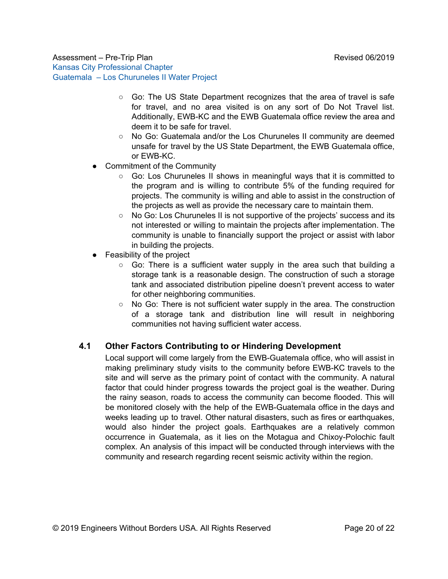- Go: The US State Department recognizes that the area of travel is safe for travel, and no area visited is on any sort of Do Not Travel list. Additionally, EWB-KC and the EWB Guatemala office review the area and deem it to be safe for travel.
- No Go: Guatemala and/or the Los Churuneles II community are deemed unsafe for travel by the US State Department, the EWB Guatemala office, or EWB-KC.
- Commitment of the Community
	- $\circ$  Go: Los Churuneles II shows in meaningful ways that it is committed to the program and is willing to contribute 5% of the funding required for projects. The community is willing and able to assist in the construction of the projects as well as provide the necessary care to maintain them.
	- No Go: Los Churuneles II is not supportive of the projects' success and its not interested or willing to maintain the projects after implementation. The community is unable to financially support the project or assist with labor in building the projects.
- Feasibility of the project
	- Go: There is a sufficient water supply in the area such that building a storage tank is a reasonable design. The construction of such a storage tank and associated distribution pipeline doesn't prevent access to water for other neighboring communities.
	- $\circ$  No Go: There is not sufficient water supply in the area. The construction of a storage tank and distribution line will result in neighboring communities not having sufficient water access.

#### <span id="page-19-0"></span>**4.1 Other Factors Contributing to or Hindering Development**

Local support will come largely from the EWB-Guatemala office, who will assist in making preliminary study visits to the community before EWB-KC travels to the site and will serve as the primary point of contact with the community. A natural factor that could hinder progress towards the project goal is the weather. During the rainy season, roads to access the community can become flooded. This will be monitored closely with the help of the EWB-Guatemala office in the days and weeks leading up to travel. Other natural disasters, such as fires or earthquakes, would also hinder the project goals. Earthquakes are a relatively common occurrence in Guatemala, as it lies on the Motagua and Chixoy-Polochic fault complex. An analysis of this impact will be conducted through interviews with the community and research regarding recent seismic activity within the region.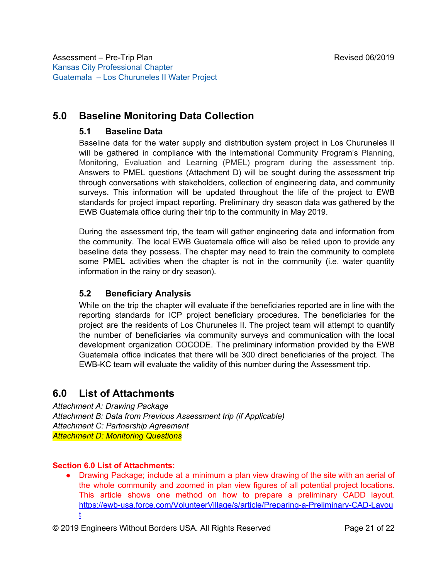# <span id="page-20-1"></span><span id="page-20-0"></span>**5.0 Baseline Monitoring Data Collection**

# **5.1 Baseline Data**

Baseline data for the water supply and distribution system project in Los Churuneles II will be gathered in compliance with the International Community Program's Planning, Monitoring, Evaluation and Learning (PMEL) program during the assessment trip. Answers to PMEL questions (Attachment D) will be sought during the assessment trip through conversations with stakeholders, collection of engineering data, and community surveys. This information will be updated throughout the life of the project to EWB standards for project impact reporting. Preliminary dry season data was gathered by the EWB Guatemala office during their trip to the community in May 2019.

During the assessment trip, the team will gather engineering data and information from the community. The local EWB Guatemala office will also be relied upon to provide any baseline data they possess. The chapter may need to train the community to complete some PMEL activities when the chapter is not in the community (i.e. water quantity information in the rainy or dry season).

# <span id="page-20-2"></span>**5.2 Beneficiary Analysis**

While on the trip the chapter will evaluate if the beneficiaries reported are in line with the reporting standards for ICP project beneficiary procedures. The beneficiaries for the project are the residents of Los Churuneles II. The project team will attempt to quantify the number of beneficiaries via community surveys and communication with the local development organization COCODE. The preliminary information provided by the EWB Guatemala office indicates that there will be 300 direct beneficiaries of the project. The EWB-KC team will evaluate the validity of this number during the Assessment trip.

# <span id="page-20-3"></span>**6.0 List of Attachments**

<span id="page-20-6"></span><span id="page-20-5"></span><span id="page-20-4"></span>*Attachment A: Drawing Package Attachment B: Data from Previous Assessment trip (if Applicable) Attachment C: Partnership Agreement Attachment D: Monitoring Questions*

#### **Section 6.0 List of Attachments:**

● Drawing Package; include at a minimum a plan view drawing of the site with an aerial of the whole community and zoomed in plan view figures of all potential project locations. This article shows one method on how to prepare a preliminary CADD layout. [https://ewb-usa.force.com/VolunteerVillage/s/article/Preparing-a-Preliminary-CAD-Layou](https://ewb-usa.force.com/VolunteerVillage/s/article/Preparing-a-Preliminary-CAD-Layout) [t](https://ewb-usa.force.com/VolunteerVillage/s/article/Preparing-a-Preliminary-CAD-Layout)